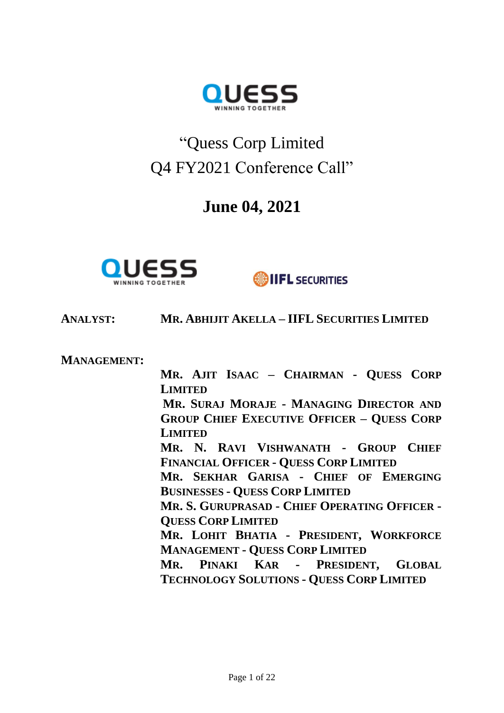

# "Quess Corp Limited Q4 FY2021 Conference Call"

## **June 04, 2021**



**SIFL SECURITIES** 

**ANALYST: MR. ABHIJIT AKELLA – IIFL SECURITIES LIMITED**

**MANAGEMENT:**

**MR. AJIT ISAAC – CHAIRMAN - QUESS CORP LIMITED MR. SURAJ MORAJE - MANAGING DIRECTOR AND GROUP CHIEF EXECUTIVE OFFICER – QUESS CORP LIMITED MR. N. RAVI VISHWANATH - GROUP CHIEF FINANCIAL OFFICER - QUESS CORP LIMITED MR. SEKHAR GARISA - CHIEF OF EMERGING BUSINESSES - QUESS CORP LIMITED MR. S. GURUPRASAD - CHIEF OPERATING OFFICER - QUESS CORP LIMITED MR. LOHIT BHATIA - PRESIDENT, WORKFORCE MANAGEMENT - QUESS CORP LIMITED MR. PINAKI KAR - PRESIDENT, GLOBAL TECHNOLOGY SOLUTIONS - QUESS CORP LIMITED**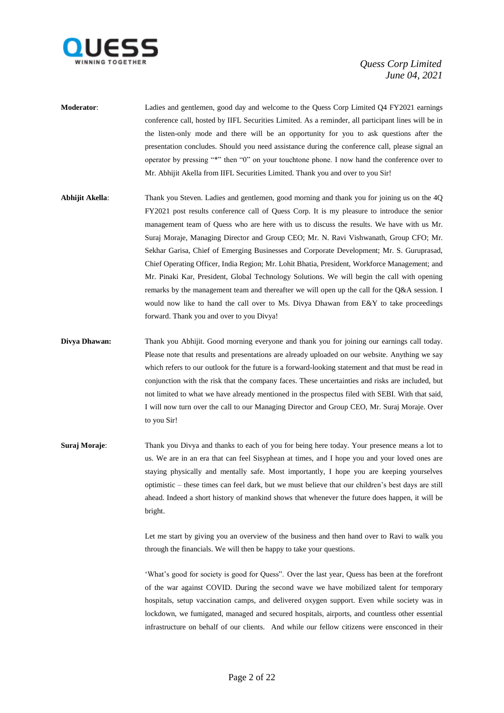

- **Moderator**: Ladies and gentlemen, good day and welcome to the Quess Corp Limited Q4 FY2021 earnings conference call, hosted by IIFL Securities Limited. As a reminder, all participant lines will be in the listen-only mode and there will be an opportunity for you to ask questions after the presentation concludes. Should you need assistance during the conference call, please signal an operator by pressing "\*" then "0" on your touchtone phone. I now hand the conference over to Mr. Abhijit Akella from IIFL Securities Limited. Thank you and over to you Sir!
- **Abhijit Akella**: Thank you Steven. Ladies and gentlemen, good morning and thank you for joining us on the 4Q FY2021 post results conference call of Quess Corp. It is my pleasure to introduce the senior management team of Quess who are here with us to discuss the results. We have with us Mr. Suraj Moraje, Managing Director and Group CEO; Mr. N. Ravi Vishwanath, Group CFO; Mr. Sekhar Garisa, Chief of Emerging Businesses and Corporate Development; Mr. S. Guruprasad, Chief Operating Officer, India Region; Mr. Lohit Bhatia, President, Workforce Management; and Mr. Pinaki Kar, President, Global Technology Solutions. We will begin the call with opening remarks by the management team and thereafter we will open up the call for the Q&A session. I would now like to hand the call over to Ms. Divya Dhawan from E&Y to take proceedings forward. Thank you and over to you Divya!
- **Divya Dhawan:** Thank you Abhijit. Good morning everyone and thank you for joining our earnings call today. Please note that results and presentations are already uploaded on our website. Anything we say which refers to our outlook for the future is a forward-looking statement and that must be read in conjunction with the risk that the company faces. These uncertainties and risks are included, but not limited to what we have already mentioned in the prospectus filed with SEBI. With that said, I will now turn over the call to our Managing Director and Group CEO, Mr. Suraj Moraje. Over to you Sir!
- **Suraj Moraje:** Thank you Divya and thanks to each of you for being here today. Your presence means a lot to us. We are in an era that can feel Sisyphean at times, and I hope you and your loved ones are staying physically and mentally safe. Most importantly, I hope you are keeping yourselves optimistic – these times can feel dark, but we must believe that our children's best days are still ahead. Indeed a short history of mankind shows that whenever the future does happen, it will be bright.

Let me start by giving you an overview of the business and then hand over to Ravi to walk you through the financials. We will then be happy to take your questions.

'What's good for society is good for Quess". Over the last year, Quess has been at the forefront of the war against COVID. During the second wave we have mobilized talent for temporary hospitals, setup vaccination camps, and delivered oxygen support. Even while society was in lockdown, we fumigated, managed and secured hospitals, airports, and countless other essential infrastructure on behalf of our clients. And while our fellow citizens were ensconced in their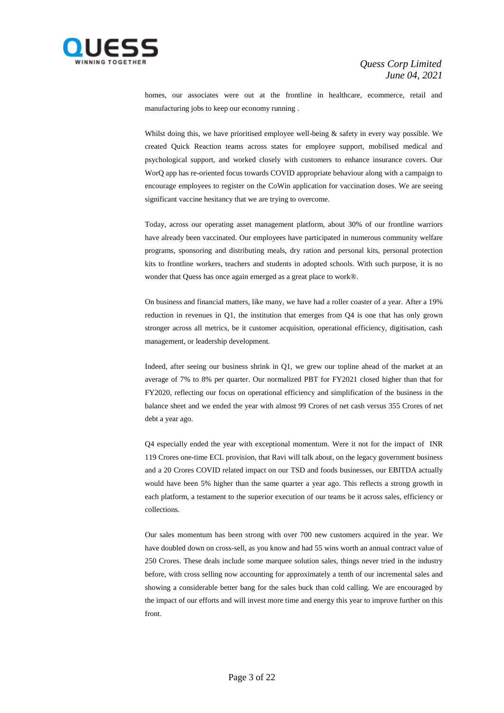

homes, our associates were out at the frontline in healthcare, ecommerce, retail and manufacturing jobs to keep our economy running .

Whilst doing this, we have prioritised employee well-being & safety in every way possible. We created Quick Reaction teams across states for employee support, mobilised medical and psychological support, and worked closely with customers to enhance insurance covers. Our WorQ app has re-oriented focus towards COVID appropriate behaviour along with a campaign to encourage employees to register on the CoWin application for vaccination doses. We are seeing significant vaccine hesitancy that we are trying to overcome.

Today, across our operating asset management platform, about 30% of our frontline warriors have already been vaccinated. Our employees have participated in numerous community welfare programs, sponsoring and distributing meals, dry ration and personal kits, personal protection kits to frontline workers, teachers and students in adopted schools. With such purpose, it is no wonder that Quess has once again emerged as a great place to work®.

On business and financial matters, like many, we have had a roller coaster of a year. After a 19% reduction in revenues in Q1, the institution that emerges from Q4 is one that has only grown stronger across all metrics, be it customer acquisition, operational efficiency, digitisation, cash management, or leadership development.

Indeed, after seeing our business shrink in Q1, we grew our topline ahead of the market at an average of 7% to 8% per quarter. Our normalized PBT for FY2021 closed higher than that for FY2020, reflecting our focus on operational efficiency and simplification of the business in the balance sheet and we ended the year with almost 99 Crores of net cash versus 355 Crores of net debt a year ago.

Q4 especially ended the year with exceptional momentum. Were it not for the impact of INR 119 Crores one-time ECL provision, that Ravi will talk about, on the legacy government business and a 20 Crores COVID related impact on our TSD and foods businesses, our EBITDA actually would have been 5% higher than the same quarter a year ago. This reflects a strong growth in each platform, a testament to the superior execution of our teams be it across sales, efficiency or collections.

Our sales momentum has been strong with over 700 new customers acquired in the year. We have doubled down on cross-sell, as you know and had 55 wins worth an annual contract value of 250 Crores. These deals include some marquee solution sales, things never tried in the industry before, with cross selling now accounting for approximately a tenth of our incremental sales and showing a considerable better bang for the sales buck than cold calling. We are encouraged by the impact of our efforts and will invest more time and energy this year to improve further on this front.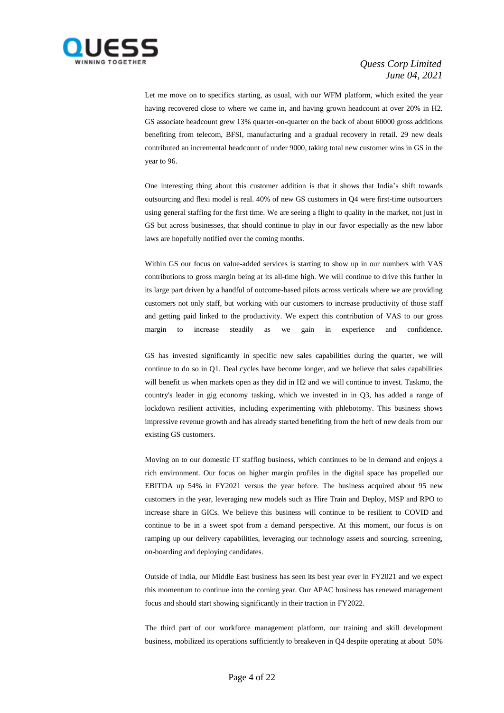

Let me move on to specifics starting, as usual, with our WFM platform, which exited the year having recovered close to where we came in, and having grown headcount at over 20% in H2. GS associate headcount grew 13% quarter-on-quarter on the back of about 60000 gross additions benefiting from telecom, BFSI, manufacturing and a gradual recovery in retail. 29 new deals contributed an incremental headcount of under 9000, taking total new customer wins in GS in the year to 96.

One interesting thing about this customer addition is that it shows that India's shift towards outsourcing and flexi model is real. 40% of new GS customers in Q4 were first-time outsourcers using general staffing for the first time. We are seeing a flight to quality in the market, not just in GS but across businesses, that should continue to play in our favor especially as the new labor laws are hopefully notified over the coming months.

Within GS our focus on value-added services is starting to show up in our numbers with VAS contributions to gross margin being at its all-time high. We will continue to drive this further in its large part driven by a handful of outcome-based pilots across verticals where we are providing customers not only staff, but working with our customers to increase productivity of those staff and getting paid linked to the productivity. We expect this contribution of VAS to our gross margin to increase steadily as we gain in experience and confidence.

GS has invested significantly in specific new sales capabilities during the quarter, we will continue to do so in Q1. Deal cycles have become longer, and we believe that sales capabilities will benefit us when markets open as they did in H2 and we will continue to invest. Taskmo, the country's leader in gig economy tasking, which we invested in in Q3, has added a range of lockdown resilient activities, including experimenting with phlebotomy. This business shows impressive revenue growth and has already started benefiting from the heft of new deals from our existing GS customers.

Moving on to our domestic IT staffing business, which continues to be in demand and enjoys a rich environment. Our focus on higher margin profiles in the digital space has propelled our EBITDA up 54% in FY2021 versus the year before. The business acquired about 95 new customers in the year, leveraging new models such as Hire Train and Deploy, MSP and RPO to increase share in GICs. We believe this business will continue to be resilient to COVID and continue to be in a sweet spot from a demand perspective. At this moment, our focus is on ramping up our delivery capabilities, leveraging our technology assets and sourcing, screening, on-boarding and deploying candidates.

Outside of India, our Middle East business has seen its best year ever in FY2021 and we expect this momentum to continue into the coming year. Our APAC business has renewed management focus and should start showing significantly in their traction in FY2022.

The third part of our workforce management platform, our training and skill development business, mobilized its operations sufficiently to breakeven in Q4 despite operating at about 50%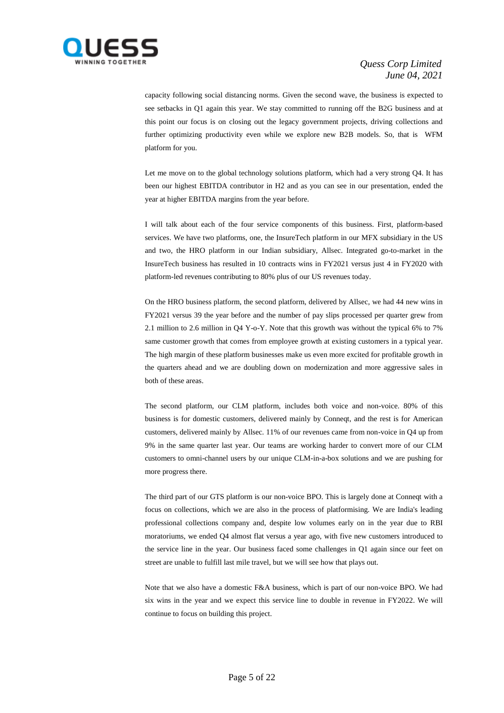

capacity following social distancing norms. Given the second wave, the business is expected to see setbacks in Q1 again this year. We stay committed to running off the B2G business and at this point our focus is on closing out the legacy government projects, driving collections and further optimizing productivity even while we explore new B2B models. So, that is WFM platform for you.

Let me move on to the global technology solutions platform, which had a very strong Q4. It has been our highest EBITDA contributor in H2 and as you can see in our presentation, ended the year at higher EBITDA margins from the year before.

I will talk about each of the four service components of this business. First, platform-based services. We have two platforms, one, the InsureTech platform in our MFX subsidiary in the US and two, the HRO platform in our Indian subsidiary, Allsec. Integrated go-to-market in the InsureTech business has resulted in 10 contracts wins in FY2021 versus just 4 in FY2020 with platform-led revenues contributing to 80% plus of our US revenues today.

On the HRO business platform, the second platform, delivered by Allsec, we had 44 new wins in FY2021 versus 39 the year before and the number of pay slips processed per quarter grew from 2.1 million to 2.6 million in Q4 Y-o-Y. Note that this growth was without the typical 6% to 7% same customer growth that comes from employee growth at existing customers in a typical year. The high margin of these platform businesses make us even more excited for profitable growth in the quarters ahead and we are doubling down on modernization and more aggressive sales in both of these areas.

The second platform, our CLM platform, includes both voice and non-voice. 80% of this business is for domestic customers, delivered mainly by Conneqt, and the rest is for American customers, delivered mainly by Allsec. 11% of our revenues came from non-voice in Q4 up from 9% in the same quarter last year. Our teams are working harder to convert more of our CLM customers to omni-channel users by our unique CLM-in-a-box solutions and we are pushing for more progress there.

The third part of our GTS platform is our non-voice BPO. This is largely done at Conneqt with a focus on collections, which we are also in the process of platformising. We are India's leading professional collections company and, despite low volumes early on in the year due to RBI moratoriums, we ended Q4 almost flat versus a year ago, with five new customers introduced to the service line in the year. Our business faced some challenges in Q1 again since our feet on street are unable to fulfill last mile travel, but we will see how that plays out.

Note that we also have a domestic F&A business, which is part of our non-voice BPO. We had six wins in the year and we expect this service line to double in revenue in FY2022. We will continue to focus on building this project.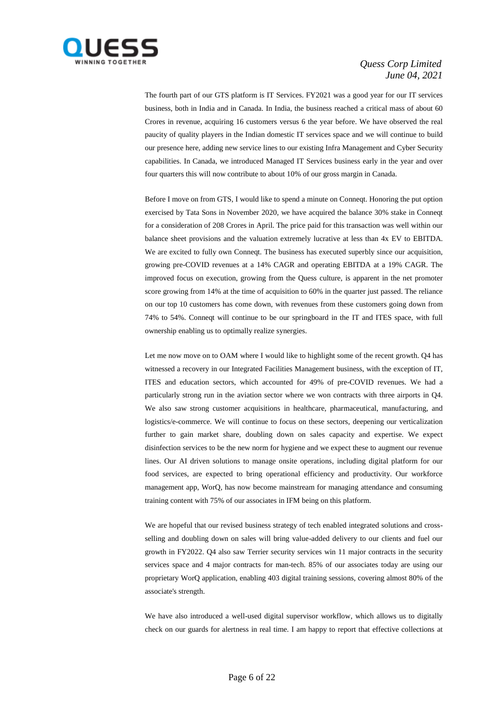

The fourth part of our GTS platform is IT Services. FY2021 was a good year for our IT services business, both in India and in Canada. In India, the business reached a critical mass of about 60 Crores in revenue, acquiring 16 customers versus 6 the year before. We have observed the real paucity of quality players in the Indian domestic IT services space and we will continue to build our presence here, adding new service lines to our existing Infra Management and Cyber Security capabilities. In Canada, we introduced Managed IT Services business early in the year and over four quarters this will now contribute to about 10% of our gross margin in Canada.

Before I move on from GTS, I would like to spend a minute on Conneqt. Honoring the put option exercised by Tata Sons in November 2020, we have acquired the balance 30% stake in Conneqt for a consideration of 208 Crores in April. The price paid for this transaction was well within our balance sheet provisions and the valuation extremely lucrative at less than 4x EV to EBITDA. We are excited to fully own Conneqt. The business has executed superbly since our acquisition, growing pre-COVID revenues at a 14% CAGR and operating EBITDA at a 19% CAGR. The improved focus on execution, growing from the Quess culture, is apparent in the net promoter score growing from 14% at the time of acquisition to 60% in the quarter just passed. The reliance on our top 10 customers has come down, with revenues from these customers going down from 74% to 54%. Conneqt will continue to be our springboard in the IT and ITES space, with full ownership enabling us to optimally realize synergies.

Let me now move on to OAM where I would like to highlight some of the recent growth. Q4 has witnessed a recovery in our Integrated Facilities Management business, with the exception of IT, ITES and education sectors, which accounted for 49% of pre-COVID revenues. We had a particularly strong run in the aviation sector where we won contracts with three airports in Q4. We also saw strong customer acquisitions in healthcare, pharmaceutical, manufacturing, and logistics/e-commerce. We will continue to focus on these sectors, deepening our verticalization further to gain market share, doubling down on sales capacity and expertise. We expect disinfection services to be the new norm for hygiene and we expect these to augment our revenue lines. Our AI driven solutions to manage onsite operations, including digital platform for our food services, are expected to bring operational efficiency and productivity. Our workforce management app, WorQ, has now become mainstream for managing attendance and consuming training content with 75% of our associates in IFM being on this platform.

We are hopeful that our revised business strategy of tech enabled integrated solutions and crossselling and doubling down on sales will bring value-added delivery to our clients and fuel our growth in FY2022. Q4 also saw Terrier security services win 11 major contracts in the security services space and 4 major contracts for man-tech. 85% of our associates today are using our proprietary WorQ application, enabling 403 digital training sessions, covering almost 80% of the associate's strength.

We have also introduced a well-used digital supervisor workflow, which allows us to digitally check on our guards for alertness in real time. I am happy to report that effective collections at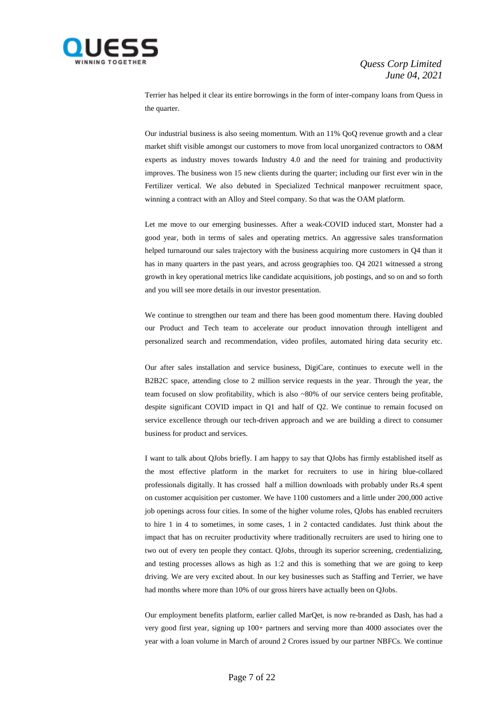

Terrier has helped it clear its entire borrowings in the form of inter-company loans from Quess in the quarter.

Our industrial business is also seeing momentum. With an 11% QoQ revenue growth and a clear market shift visible amongst our customers to move from local unorganized contractors to O&M experts as industry moves towards Industry 4.0 and the need for training and productivity improves. The business won 15 new clients during the quarter; including our first ever win in the Fertilizer vertical. We also debuted in Specialized Technical manpower recruitment space, winning a contract with an Alloy and Steel company. So that was the OAM platform.

Let me move to our emerging businesses. After a weak-COVID induced start, Monster had a good year, both in terms of sales and operating metrics. An aggressive sales transformation helped turnaround our sales trajectory with the business acquiring more customers in Q4 than it has in many quarters in the past years, and across geographies too. Q4 2021 witnessed a strong growth in key operational metrics like candidate acquisitions, job postings, and so on and so forth and you will see more details in our investor presentation.

We continue to strengthen our team and there has been good momentum there. Having doubled our Product and Tech team to accelerate our product innovation through intelligent and personalized search and recommendation, video profiles, automated hiring data security etc.

Our after sales installation and service business, DigiCare, continues to execute well in the B2B2C space, attending close to 2 million service requests in the year. Through the year, the team focused on slow profitability, which is also ~80% of our service centers being profitable, despite significant COVID impact in Q1 and half of Q2. We continue to remain focused on service excellence through our tech-driven approach and we are building a direct to consumer business for product and services.

I want to talk about QJobs briefly. I am happy to say that QJobs has firmly established itself as the most effective platform in the market for recruiters to use in hiring blue-collared professionals digitally. It has crossed half a million downloads with probably under Rs.4 spent on customer acquisition per customer. We have 1100 customers and a little under 200,000 active job openings across four cities. In some of the higher volume roles, QJobs has enabled recruiters to hire 1 in 4 to sometimes, in some cases, 1 in 2 contacted candidates. Just think about the impact that has on recruiter productivity where traditionally recruiters are used to hiring one to two out of every ten people they contact. QJobs, through its superior screening, credentializing, and testing processes allows as high as 1:2 and this is something that we are going to keep driving. We are very excited about. In our key businesses such as Staffing and Terrier, we have had months where more than 10% of our gross hirers have actually been on QJobs.

Our employment benefits platform, earlier called MarQet, is now re-branded as Dash, has had a very good first year, signing up 100+ partners and serving more than 4000 associates over the year with a loan volume in March of around 2 Crores issued by our partner NBFCs. We continue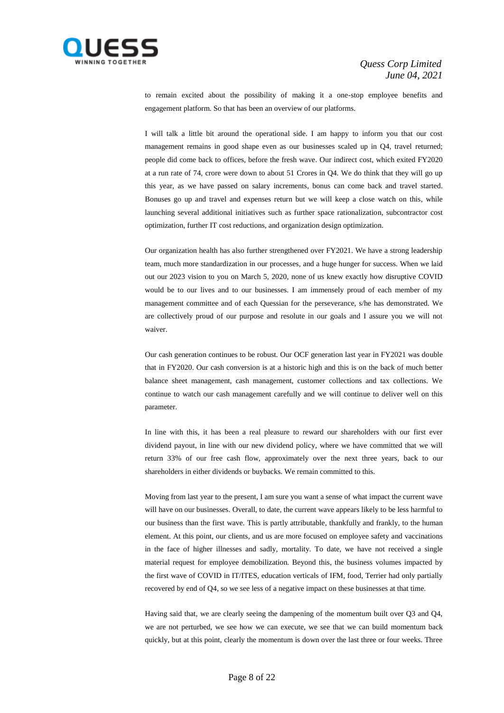

to remain excited about the possibility of making it a one-stop employee benefits and engagement platform. So that has been an overview of our platforms.

I will talk a little bit around the operational side. I am happy to inform you that our cost management remains in good shape even as our businesses scaled up in Q4, travel returned; people did come back to offices, before the fresh wave. Our indirect cost, which exited FY2020 at a run rate of 74, crore were down to about 51 Crores in Q4. We do think that they will go up this year, as we have passed on salary increments, bonus can come back and travel started. Bonuses go up and travel and expenses return but we will keep a close watch on this, while launching several additional initiatives such as further space rationalization, subcontractor cost optimization, further IT cost reductions, and organization design optimization.

Our organization health has also further strengthened over FY2021. We have a strong leadership team, much more standardization in our processes, and a huge hunger for success. When we laid out our 2023 vision to you on March 5, 2020, none of us knew exactly how disruptive COVID would be to our lives and to our businesses. I am immensely proud of each member of my management committee and of each Quessian for the perseverance, s/he has demonstrated. We are collectively proud of our purpose and resolute in our goals and I assure you we will not waiver.

Our cash generation continues to be robust. Our OCF generation last year in FY2021 was double that in FY2020. Our cash conversion is at a historic high and this is on the back of much better balance sheet management, cash management, customer collections and tax collections. We continue to watch our cash management carefully and we will continue to deliver well on this parameter.

In line with this, it has been a real pleasure to reward our shareholders with our first ever dividend payout, in line with our new dividend policy, where we have committed that we will return 33% of our free cash flow, approximately over the next three years, back to our shareholders in either dividends or buybacks. We remain committed to this.

Moving from last year to the present, I am sure you want a sense of what impact the current wave will have on our businesses. Overall, to date, the current wave appears likely to be less harmful to our business than the first wave. This is partly attributable, thankfully and frankly, to the human element. At this point, our clients, and us are more focused on employee safety and vaccinations in the face of higher illnesses and sadly, mortality. To date, we have not received a single material request for employee demobilization. Beyond this, the business volumes impacted by the first wave of COVID in IT/ITES, education verticals of IFM, food, Terrier had only partially recovered by end of Q4, so we see less of a negative impact on these businesses at that time.

Having said that, we are clearly seeing the dampening of the momentum built over Q3 and Q4, we are not perturbed, we see how we can execute, we see that we can build momentum back quickly, but at this point, clearly the momentum is down over the last three or four weeks. Three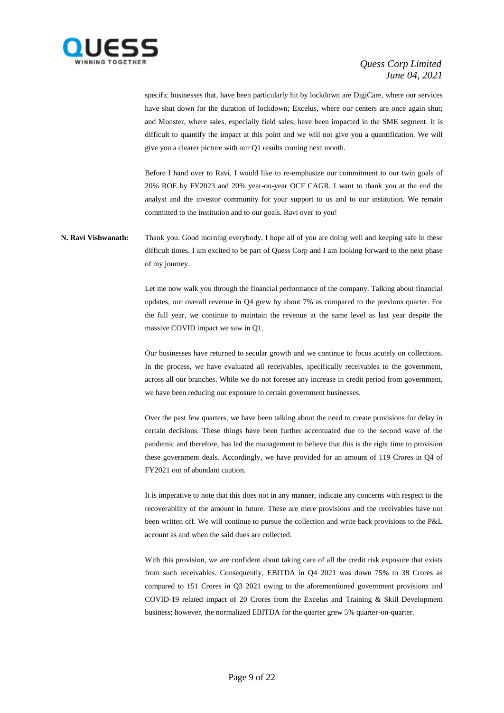

specific businesses that, have been particularly hit by lockdown are DigiCare, where our services have shut down for the duration of lockdown; Excelus, where our centers are once again shut; and Monster, where sales, especially field sales, have been impacted in the SME segment. It is difficult to quantify the impact at this point and we will not give you a quantification. We will give you a clearer picture with our Q1 results coming next month.

Before I hand over to Ravi, I would like to re-emphasize our commitment to our twin goals of 20% ROE by FY2023 and 20% year-on-year OCF CAGR. I want to thank you at the end the analyst and the investor community for your support to us and to our institution. We remain committed to the institution and to our goals. Ravi over to you!

**N. Ravi Vishwanath:** Thank you. Good morning everybody. I hope all of you are doing well and keeping safe in these difficult times. I am excited to be part of Quess Corp and I am looking forward to the next phase of my journey.

> Let me now walk you through the financial performance of the company. Talking about financial updates, our overall revenue in Q4 grew by about 7% as compared to the previous quarter. For the full year, we continue to maintain the revenue at the same level as last year despite the massive COVID impact we saw in Q1.

> Our businesses have returned to secular growth and we continue to focus acutely on collections. In the process, we have evaluated all receivables, specifically receivables to the government, across all our branches. While we do not foresee any increase in credit period from government, we have been reducing our exposure to certain government businesses.

> Over the past few quarters, we have been talking about the need to create provisions for delay in certain decisions. These things have been further accentuated due to the second wave of the pandemic and therefore, has led the management to believe that this is the right time to provision these government deals. Accordingly, we have provided for an amount of 119 Crores in Q4 of FY2021 out of abundant caution.

> It is imperative to note that this does not in any manner, indicate any concerns with respect to the recoverability of the amount in future. These are mere provisions and the receivables have not been written off. We will continue to pursue the collection and write back provisions to the P&L account as and when the said dues are collected.

> With this provision, we are confident about taking care of all the credit risk exposure that exists from such receivables. Consequently, EBITDA in Q4 2021 was down 75% to 38 Crores as compared to 151 Crores in Q3 2021 owing to the aforementioned government provisions and COVID-19 related impact of 20 Crores from the Excelus and Training & Skill Development business; however, the normalized EBITDA for the quarter grew 5% quarter-on-quarter.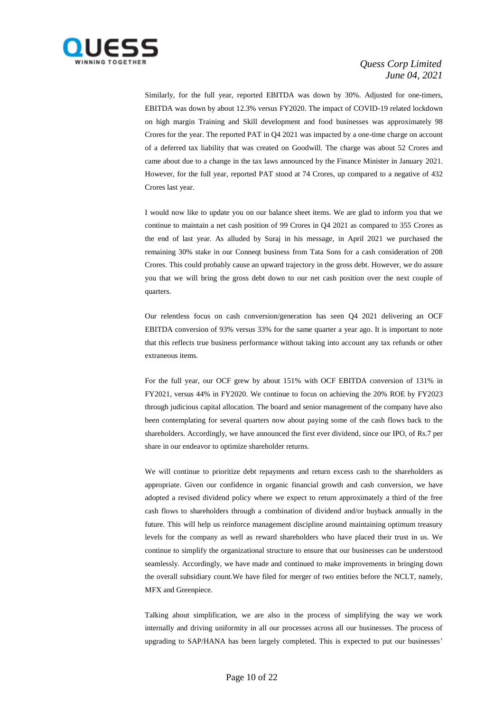

Similarly, for the full year, reported EBITDA was down by 30%. Adjusted for one-timers, EBITDA was down by about 12.3% versus FY2020. The impact of COVID-19 related lockdown on high margin Training and Skill development and food businesses was approximately 98 Crores for the year. The reported PAT in Q4 2021 was impacted by a one-time charge on account of a deferred tax liability that was created on Goodwill. The charge was about 52 Crores and came about due to a change in the tax laws announced by the Finance Minister in January 2021. However, for the full year, reported PAT stood at 74 Crores, up compared to a negative of 432 Crores last year.

I would now like to update you on our balance sheet items. We are glad to inform you that we continue to maintain a net cash position of 99 Crores in Q4 2021 as compared to 355 Crores as the end of last year. As alluded by Suraj in his message, in April 2021 we purchased the remaining 30% stake in our Conneqt business from Tata Sons for a cash consideration of 208 Crores. This could probably cause an upward trajectory in the gross debt. However, we do assure you that we will bring the gross debt down to our net cash position over the next couple of quarters.

Our relentless focus on cash conversion/generation has seen Q4 2021 delivering an OCF EBITDA conversion of 93% versus 33% for the same quarter a year ago. It is important to note that this reflects true business performance without taking into account any tax refunds or other extraneous items.

For the full year, our OCF grew by about 151% with OCF EBITDA conversion of 131% in FY2021, versus 44% in FY2020. We continue to focus on achieving the 20% ROE by FY2023 through judicious capital allocation. The board and senior management of the company have also been contemplating for several quarters now about paying some of the cash flows back to the shareholders. Accordingly, we have announced the first ever dividend, since our IPO, of Rs.7 per share in our endeavor to optimize shareholder returns.

We will continue to prioritize debt repayments and return excess cash to the shareholders as appropriate. Given our confidence in organic financial growth and cash conversion, we have adopted a revised dividend policy where we expect to return approximately a third of the free cash flows to shareholders through a combination of dividend and/or buyback annually in the future. This will help us reinforce management discipline around maintaining optimum treasury levels for the company as well as reward shareholders who have placed their trust in us. We continue to simplify the organizational structure to ensure that our businesses can be understood seamlessly. Accordingly, we have made and continued to make improvements in bringing down the overall subsidiary count.We have filed for merger of two entities before the NCLT, namely, MFX and Greenpiece.

Talking about simplification, we are also in the process of simplifying the way we work internally and driving uniformity in all our processes across all our businesses. The process of upgrading to SAP/HANA has been largely completed. This is expected to put our businesses'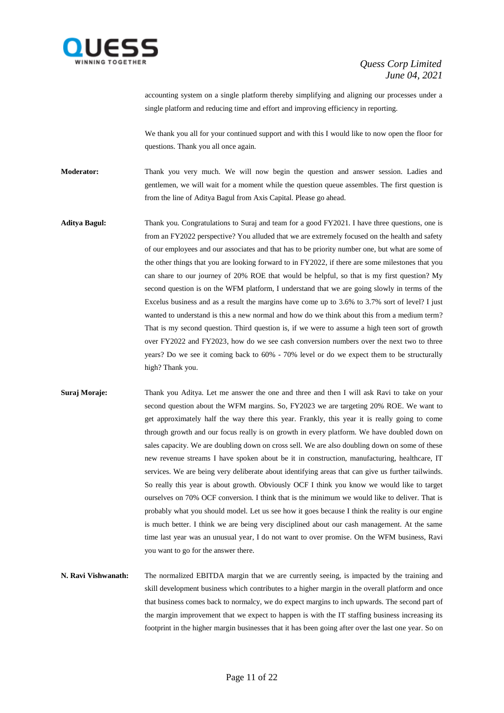

accounting system on a single platform thereby simplifying and aligning our processes under a single platform and reducing time and effort and improving efficiency in reporting.

We thank you all for your continued support and with this I would like to now open the floor for questions. Thank you all once again.

**Moderator:** Thank you very much. We will now begin the question and answer session. Ladies and gentlemen, we will wait for a moment while the question queue assembles. The first question is from the line of Aditya Bagul from Axis Capital. Please go ahead.

- **Aditya Bagul:** Thank you. Congratulations to Suraj and team for a good FY2021. I have three questions, one is from an FY2022 perspective? You alluded that we are extremely focused on the health and safety of our employees and our associates and that has to be priority number one, but what are some of the other things that you are looking forward to in FY2022, if there are some milestones that you can share to our journey of 20% ROE that would be helpful, so that is my first question? My second question is on the WFM platform, I understand that we are going slowly in terms of the Excelus business and as a result the margins have come up to 3.6% to 3.7% sort of level? I just wanted to understand is this a new normal and how do we think about this from a medium term? That is my second question. Third question is, if we were to assume a high teen sort of growth over FY2022 and FY2023, how do we see cash conversion numbers over the next two to three years? Do we see it coming back to 60% - 70% level or do we expect them to be structurally high? Thank you.
- **Suraj Moraje:** Thank you Aditya. Let me answer the one and three and then I will ask Ravi to take on your second question about the WFM margins. So, FY2023 we are targeting 20% ROE. We want to get approximately half the way there this year. Frankly, this year it is really going to come through growth and our focus really is on growth in every platform. We have doubled down on sales capacity. We are doubling down on cross sell. We are also doubling down on some of these new revenue streams I have spoken about be it in construction, manufacturing, healthcare, IT services. We are being very deliberate about identifying areas that can give us further tailwinds. So really this year is about growth. Obviously OCF I think you know we would like to target ourselves on 70% OCF conversion. I think that is the minimum we would like to deliver. That is probably what you should model. Let us see how it goes because I think the reality is our engine is much better. I think we are being very disciplined about our cash management. At the same time last year was an unusual year, I do not want to over promise. On the WFM business, Ravi you want to go for the answer there.
- **N. Ravi Vishwanath:** The normalized EBITDA margin that we are currently seeing, is impacted by the training and skill development business which contributes to a higher margin in the overall platform and once that business comes back to normalcy, we do expect margins to inch upwards. The second part of the margin improvement that we expect to happen is with the IT staffing business increasing its footprint in the higher margin businesses that it has been going after over the last one year. So on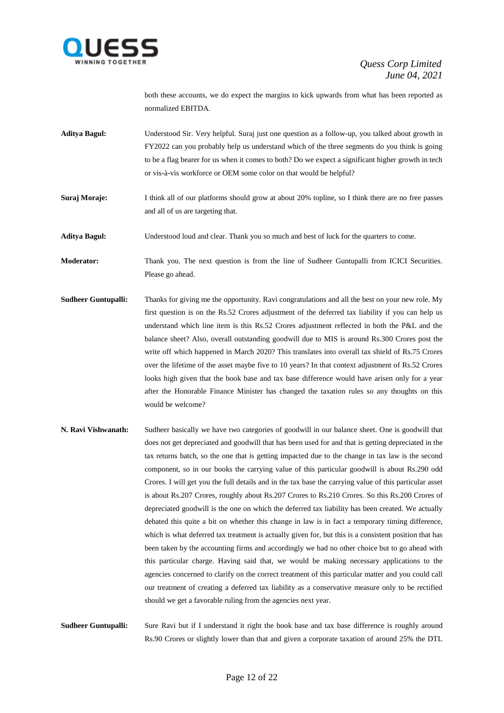

both these accounts, we do expect the margins to kick upwards from what has been reported as normalized EBITDA.

- **Aditya Bagul:** Understood Sir. Very helpful. Suraj just one question as a follow-up, you talked about growth in FY2022 can you probably help us understand which of the three segments do you think is going to be a flag bearer for us when it comes to both? Do we expect a significant higher growth in tech or vis-à-vis workforce or OEM some color on that would be helpful?
- **Suraj Moraje:** I think all of our platforms should grow at about 20% topline, so I think there are no free passes and all of us are targeting that.
- **Aditya Bagul:** Understood loud and clear. Thank you so much and best of luck for the quarters to come.

**Moderator:** Thank you. The next question is from the line of Sudheer Guntupalli from ICICI Securities. Please go ahead.

- **Sudheer Guntupalli:** Thanks for giving me the opportunity. Ravi congratulations and all the best on your new role. My first question is on the Rs.52 Crores adjustment of the deferred tax liability if you can help us understand which line item is this Rs.52 Crores adjustment reflected in both the P&L and the balance sheet? Also, overall outstanding goodwill due to MIS is around Rs.300 Crores post the write off which happened in March 2020? This translates into overall tax shield of Rs.75 Crores over the lifetime of the asset maybe five to 10 years? In that context adjustment of Rs.52 Crores looks high given that the book base and tax base difference would have arisen only for a year after the Honorable Finance Minister has changed the taxation rules so any thoughts on this would be welcome?
- **N. Ravi Vishwanath:** Sudheer basically we have two categories of goodwill in our balance sheet. One is goodwill that does not get depreciated and goodwill that has been used for and that is getting depreciated in the tax returns batch, so the one that is getting impacted due to the change in tax law is the second component, so in our books the carrying value of this particular goodwill is about Rs.290 odd Crores. I will get you the full details and in the tax base the carrying value of this particular asset is about Rs.207 Crores, roughly about Rs.207 Crores to Rs.210 Crores. So this Rs.200 Crores of depreciated goodwill is the one on which the deferred tax liability has been created. We actually debated this quite a bit on whether this change in law is in fact a temporary timing difference, which is what deferred tax treatment is actually given for, but this is a consistent position that has been taken by the accounting firms and accordingly we had no other choice but to go ahead with this particular charge. Having said that, we would be making necessary applications to the agencies concerned to clarify on the correct treatment of this particular matter and you could call our treatment of creating a deferred tax liability as a conservative measure only to be rectified should we get a favorable ruling from the agencies next year.

**Sudheer Guntupalli:** Sure Ravi but if I understand it right the book base and tax base difference is roughly around Rs.90 Crores or slightly lower than that and given a corporate taxation of around 25% the DTL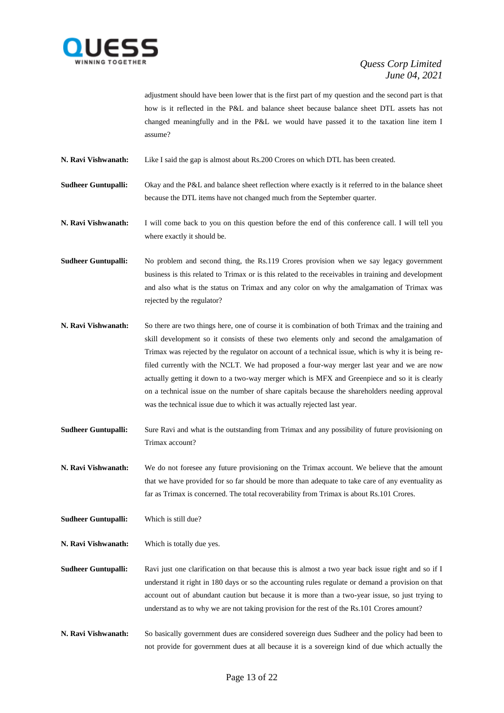

adjustment should have been lower that is the first part of my question and the second part is that how is it reflected in the P&L and balance sheet because balance sheet DTL assets has not changed meaningfully and in the P&L we would have passed it to the taxation line item I assume?

**N. Ravi Vishwanath:** Like I said the gap is almost about Rs.200 Crores on which DTL has been created.

**Sudheer Guntupalli:** Okay and the P&L and balance sheet reflection where exactly is it referred to in the balance sheet because the DTL items have not changed much from the September quarter.

**N. Ravi Vishwanath:** I will come back to you on this question before the end of this conference call. I will tell you where exactly it should be.

**Sudheer Guntupalli:** No problem and second thing, the Rs.119 Crores provision when we say legacy government business is this related to Trimax or is this related to the receivables in training and development and also what is the status on Trimax and any color on why the amalgamation of Trimax was rejected by the regulator?

- **N. Ravi Vishwanath:** So there are two things here, one of course it is combination of both Trimax and the training and skill development so it consists of these two elements only and second the amalgamation of Trimax was rejected by the regulator on account of a technical issue, which is why it is being refiled currently with the NCLT. We had proposed a four-way merger last year and we are now actually getting it down to a two-way merger which is MFX and Greenpiece and so it is clearly on a technical issue on the number of share capitals because the shareholders needing approval was the technical issue due to which it was actually rejected last year.
- **Sudheer Guntupalli:** Sure Ravi and what is the outstanding from Trimax and any possibility of future provisioning on Trimax account?

**N. Ravi Vishwanath:** We do not foresee any future provisioning on the Trimax account. We believe that the amount that we have provided for so far should be more than adequate to take care of any eventuality as far as Trimax is concerned. The total recoverability from Trimax is about Rs.101 Crores.

**Sudheer Guntupalli:** Which is still due?

**N. Ravi Vishwanath:** Which is totally due yes.

**Sudheer Guntupalli:** Ravi just one clarification on that because this is almost a two year back issue right and so if I understand it right in 180 days or so the accounting rules regulate or demand a provision on that account out of abundant caution but because it is more than a two-year issue, so just trying to understand as to why we are not taking provision for the rest of the Rs.101 Crores amount?

**N. Ravi Vishwanath:** So basically government dues are considered sovereign dues Sudheer and the policy had been to not provide for government dues at all because it is a sovereign kind of due which actually the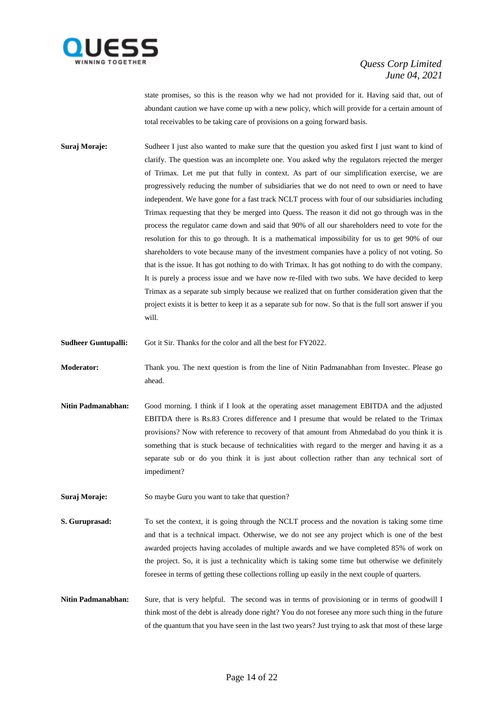

state promises, so this is the reason why we had not provided for it. Having said that, out of abundant caution we have come up with a new policy, which will provide for a certain amount of total receivables to be taking care of provisions on a going forward basis.

**Suraj Moraje:** Sudheer I just also wanted to make sure that the question you asked first I just want to kind of clarify. The question was an incomplete one. You asked why the regulators rejected the merger of Trimax. Let me put that fully in context. As part of our simplification exercise, we are progressively reducing the number of subsidiaries that we do not need to own or need to have independent. We have gone for a fast track NCLT process with four of our subsidiaries including Trimax requesting that they be merged into Quess. The reason it did not go through was in the process the regulator came down and said that 90% of all our shareholders need to vote for the resolution for this to go through. It is a mathematical impossibility for us to get 90% of our shareholders to vote because many of the investment companies have a policy of not voting. So that is the issue. It has got nothing to do with Trimax. It has got nothing to do with the company. It is purely a process issue and we have now re-filed with two subs. We have decided to keep Trimax as a separate sub simply because we realized that on further consideration given that the project exists it is better to keep it as a separate sub for now. So that is the full sort answer if you will.

**Sudheer Guntupalli:** Got it Sir. Thanks for the color and all the best for FY2022.

- **Moderator:** Thank you. The next question is from the line of Nitin Padmanabhan from Investec. Please go ahead.
- **Nitin Padmanabhan:** Good morning. I think if I look at the operating asset management EBITDA and the adjusted EBITDA there is Rs.83 Crores difference and I presume that would be related to the Trimax provisions? Now with reference to recovery of that amount from Ahmedabad do you think it is something that is stuck because of technicalities with regard to the merger and having it as a separate sub or do you think it is just about collection rather than any technical sort of impediment?
- **Suraj Moraje:** So maybe Guru you want to take that question?
- **S. Guruprasad:** To set the context, it is going through the NCLT process and the novation is taking some time and that is a technical impact. Otherwise, we do not see any project which is one of the best awarded projects having accolades of multiple awards and we have completed 85% of work on the project. So, it is just a technicality which is taking some time but otherwise we definitely foresee in terms of getting these collections rolling up easily in the next couple of quarters.
- **Nitin Padmanabhan:** Sure, that is very helpful. The second was in terms of provisioning or in terms of goodwill I think most of the debt is already done right? You do not foresee any more such thing in the future of the quantum that you have seen in the last two years? Just trying to ask that most of these large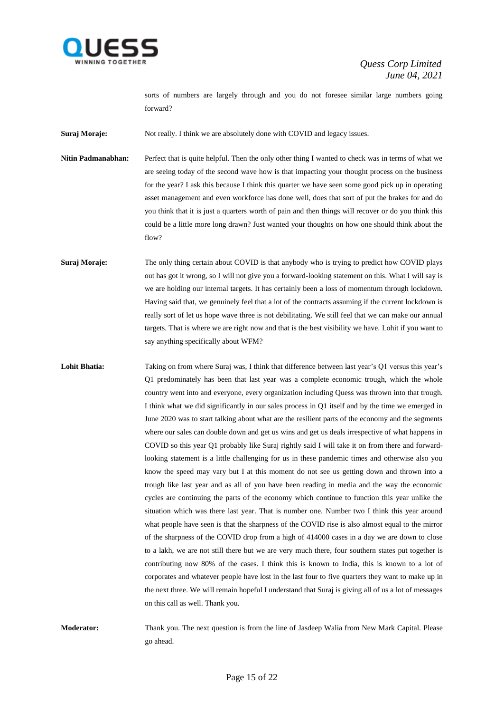

sorts of numbers are largely through and you do not foresee similar large numbers going forward?

**Suraj Moraje:** Not really. I think we are absolutely done with COVID and legacy issues.

**Nitin Padmanabhan:** Perfect that is quite helpful. Then the only other thing I wanted to check was in terms of what we are seeing today of the second wave how is that impacting your thought process on the business for the year? I ask this because I think this quarter we have seen some good pick up in operating asset management and even workforce has done well, does that sort of put the brakes for and do you think that it is just a quarters worth of pain and then things will recover or do you think this could be a little more long drawn? Just wanted your thoughts on how one should think about the flow?

**Suraj Moraje:** The only thing certain about COVID is that anybody who is trying to predict how COVID plays out has got it wrong, so I will not give you a forward-looking statement on this. What I will say is we are holding our internal targets. It has certainly been a loss of momentum through lockdown. Having said that, we genuinely feel that a lot of the contracts assuming if the current lockdown is really sort of let us hope wave three is not debilitating. We still feel that we can make our annual targets. That is where we are right now and that is the best visibility we have. Lohit if you want to say anything specifically about WFM?

Lohit Bhatia: Taking on from where Suraj was, I think that difference between last year's Q1 versus this year's Q1 predominately has been that last year was a complete economic trough, which the whole country went into and everyone, every organization including Quess was thrown into that trough. I think what we did significantly in our sales process in Q1 itself and by the time we emerged in June 2020 was to start talking about what are the resilient parts of the economy and the segments where our sales can double down and get us wins and get us deals irrespective of what happens in COVID so this year Q1 probably like Suraj rightly said I will take it on from there and forwardlooking statement is a little challenging for us in these pandemic times and otherwise also you know the speed may vary but I at this moment do not see us getting down and thrown into a trough like last year and as all of you have been reading in media and the way the economic cycles are continuing the parts of the economy which continue to function this year unlike the situation which was there last year. That is number one. Number two I think this year around what people have seen is that the sharpness of the COVID rise is also almost equal to the mirror of the sharpness of the COVID drop from a high of 414000 cases in a day we are down to close to a lakh, we are not still there but we are very much there, four southern states put together is contributing now 80% of the cases. I think this is known to India, this is known to a lot of corporates and whatever people have lost in the last four to five quarters they want to make up in the next three. We will remain hopeful I understand that Suraj is giving all of us a lot of messages on this call as well. Thank you.

**Moderator:** Thank you. The next question is from the line of Jasdeep Walia from New Mark Capital. Please go ahead.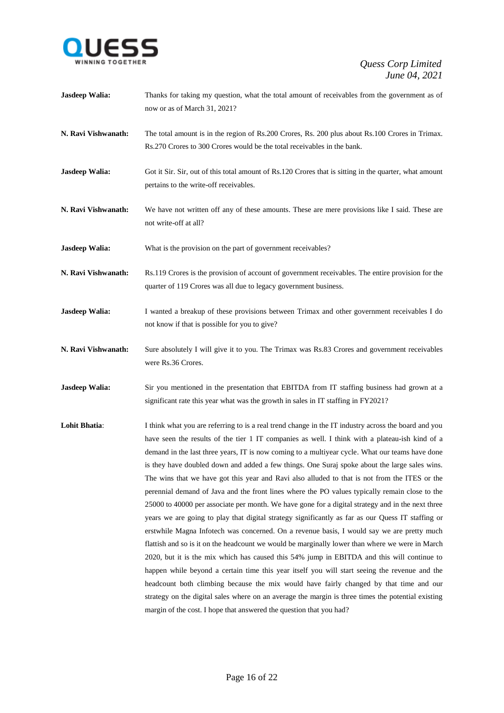

| <b>Jasdeep Walia:</b> | Thanks for taking my question, what the total amount of receivables from the government as of<br>now or as of March 31, 2021?                                                                                                                                                                                                                                                                                                                                                                                                                                                                                                                                                                                                                                                                                                                                                                                                                                                                                                                                                                                                                                                                                                                                                                                                                                                                                                                                                                  |
|-----------------------|------------------------------------------------------------------------------------------------------------------------------------------------------------------------------------------------------------------------------------------------------------------------------------------------------------------------------------------------------------------------------------------------------------------------------------------------------------------------------------------------------------------------------------------------------------------------------------------------------------------------------------------------------------------------------------------------------------------------------------------------------------------------------------------------------------------------------------------------------------------------------------------------------------------------------------------------------------------------------------------------------------------------------------------------------------------------------------------------------------------------------------------------------------------------------------------------------------------------------------------------------------------------------------------------------------------------------------------------------------------------------------------------------------------------------------------------------------------------------------------------|
| N. Ravi Vishwanath:   | The total amount is in the region of Rs.200 Crores, Rs. 200 plus about Rs.100 Crores in Trimax.<br>Rs.270 Crores to 300 Crores would be the total receivables in the bank.                                                                                                                                                                                                                                                                                                                                                                                                                                                                                                                                                                                                                                                                                                                                                                                                                                                                                                                                                                                                                                                                                                                                                                                                                                                                                                                     |
| Jasdeep Walia:        | Got it Sir. Sir, out of this total amount of Rs.120 Crores that is sitting in the quarter, what amount<br>pertains to the write-off receivables.                                                                                                                                                                                                                                                                                                                                                                                                                                                                                                                                                                                                                                                                                                                                                                                                                                                                                                                                                                                                                                                                                                                                                                                                                                                                                                                                               |
| N. Ravi Vishwanath:   | We have not written off any of these amounts. These are mere provisions like I said. These are<br>not write-off at all?                                                                                                                                                                                                                                                                                                                                                                                                                                                                                                                                                                                                                                                                                                                                                                                                                                                                                                                                                                                                                                                                                                                                                                                                                                                                                                                                                                        |
| <b>Jasdeep Walia:</b> | What is the provision on the part of government receivables?                                                                                                                                                                                                                                                                                                                                                                                                                                                                                                                                                                                                                                                                                                                                                                                                                                                                                                                                                                                                                                                                                                                                                                                                                                                                                                                                                                                                                                   |
| N. Ravi Vishwanath:   | Rs.119 Crores is the provision of account of government receivables. The entire provision for the<br>quarter of 119 Crores was all due to legacy government business.                                                                                                                                                                                                                                                                                                                                                                                                                                                                                                                                                                                                                                                                                                                                                                                                                                                                                                                                                                                                                                                                                                                                                                                                                                                                                                                          |
| <b>Jasdeep Walia:</b> | I wanted a breakup of these provisions between Trimax and other government receivables I do<br>not know if that is possible for you to give?                                                                                                                                                                                                                                                                                                                                                                                                                                                                                                                                                                                                                                                                                                                                                                                                                                                                                                                                                                                                                                                                                                                                                                                                                                                                                                                                                   |
| N. Ravi Vishwanath:   | Sure absolutely I will give it to you. The Trimax was Rs.83 Crores and government receivables<br>were Rs.36 Crores.                                                                                                                                                                                                                                                                                                                                                                                                                                                                                                                                                                                                                                                                                                                                                                                                                                                                                                                                                                                                                                                                                                                                                                                                                                                                                                                                                                            |
| <b>Jasdeep Walia:</b> | Sir you mentioned in the presentation that EBITDA from IT staffing business had grown at a<br>significant rate this year what was the growth in sales in IT staffing in FY2021?                                                                                                                                                                                                                                                                                                                                                                                                                                                                                                                                                                                                                                                                                                                                                                                                                                                                                                                                                                                                                                                                                                                                                                                                                                                                                                                |
| <b>Lohit Bhatia:</b>  | I think what you are referring to is a real trend change in the IT industry across the board and you<br>have seen the results of the tier 1 IT companies as well. I think with a plateau-ish kind of a<br>demand in the last three years, IT is now coming to a multiyear cycle. What our teams have done<br>is they have doubled down and added a few things. One Suraj spoke about the large sales wins.<br>The wins that we have got this year and Ravi also alluded to that is not from the ITES or the<br>perennial demand of Java and the front lines where the PO values typically remain close to the<br>25000 to 40000 per associate per month. We have gone for a digital strategy and in the next three<br>years we are going to play that digital strategy significantly as far as our Quess IT staffing or<br>erstwhile Magna Infotech was concerned. On a revenue basis, I would say we are pretty much<br>flattish and so is it on the headcount we would be marginally lower than where we were in March<br>2020, but it is the mix which has caused this 54% jump in EBITDA and this will continue to<br>happen while beyond a certain time this year itself you will start seeing the revenue and the<br>headcount both climbing because the mix would have fairly changed by that time and our<br>strategy on the digital sales where on an average the margin is three times the potential existing<br>margin of the cost. I hope that answered the question that you had? |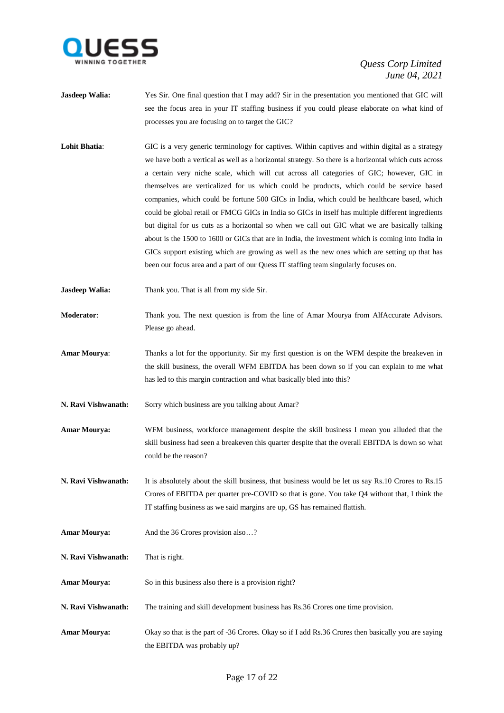

- **Jasdeep Walia:** Yes Sir. One final question that I may add? Sir in the presentation you mentioned that GIC will see the focus area in your IT staffing business if you could please elaborate on what kind of processes you are focusing on to target the GIC?
- Lohit Bhatia: GIC is a very generic terminology for captives. Within captives and within digital as a strategy we have both a vertical as well as a horizontal strategy. So there is a horizontal which cuts across a certain very niche scale, which will cut across all categories of GIC; however, GIC in themselves are verticalized for us which could be products, which could be service based companies, which could be fortune 500 GICs in India, which could be healthcare based, which could be global retail or FMCG GICs in India so GICs in itself has multiple different ingredients but digital for us cuts as a horizontal so when we call out GIC what we are basically talking about is the 1500 to 1600 or GICs that are in India, the investment which is coming into India in GICs support existing which are growing as well as the new ones which are setting up that has been our focus area and a part of our Quess IT staffing team singularly focuses on.
- **Jasdeep Walia:** Thank you. That is all from my side Sir.
- **Moderator**: Thank you. The next question is from the line of Amar Mourya from AlfAccurate Advisors. Please go ahead.
- **Amar Mourya**: Thanks a lot for the opportunity. Sir my first question is on the WFM despite the breakeven in the skill business, the overall WFM EBITDA has been down so if you can explain to me what has led to this margin contraction and what basically bled into this?
- **N. Ravi Vishwanath:** Sorry which business are you talking about Amar?
- **Amar Mourya:** WFM business, workforce management despite the skill business I mean you alluded that the skill business had seen a breakeven this quarter despite that the overall EBITDA is down so what could be the reason?
- **N. Ravi Vishwanath:** It is absolutely about the skill business, that business would be let us say Rs.10 Crores to Rs.15 Crores of EBITDA per quarter pre-COVID so that is gone. You take Q4 without that, I think the IT staffing business as we said margins are up, GS has remained flattish.
- Amar Mourya: And the 36 Crores provision also...?
- **N. Ravi Vishwanath:** That is right.
- Amar Mourya: So in this business also there is a provision right?
- **N. Ravi Vishwanath:** The training and skill development business has Rs.36 Crores one time provision.
- **Amar Mourya:** Okay so that is the part of -36 Crores. Okay so if I add Rs.36 Crores then basically you are saying the EBITDA was probably up?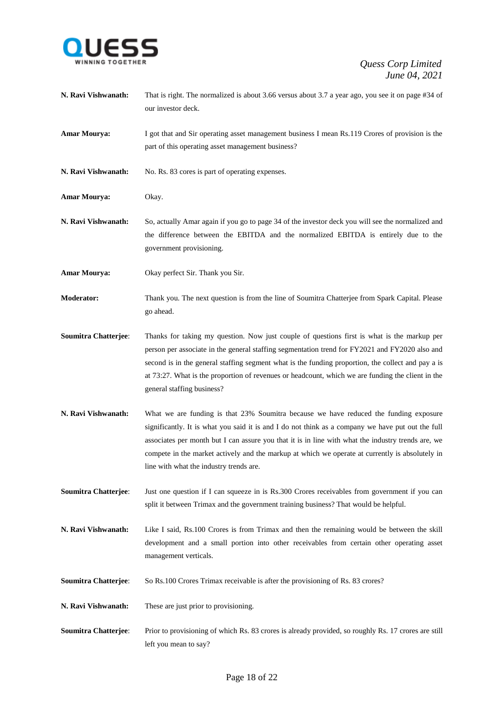

- **N. Ravi Vishwanath:** That is right. The normalized is about 3.66 versus about 3.7 a year ago, you see it on page #34 of our investor deck.
- **Amar Mourya:** I got that and Sir operating asset management business I mean Rs.119 Crores of provision is the part of this operating asset management business?
- **N. Ravi Vishwanath:** No. Rs. 83 cores is part of operating expenses.
- **Amar Mourya:** Okay.
- **N. Ravi Vishwanath:** So, actually Amar again if you go to page 34 of the investor deck you will see the normalized and the difference between the EBITDA and the normalized EBITDA is entirely due to the government provisioning.
- **Amar Mourya:** Okay perfect Sir. Thank you Sir.
- **Moderator:** Thank you. The next question is from the line of Soumitra Chatterjee from Spark Capital. Please go ahead.
- **Soumitra Chatterjee**: Thanks for taking my question. Now just couple of questions first is what is the markup per person per associate in the general staffing segmentation trend for FY2021 and FY2020 also and second is in the general staffing segment what is the funding proportion, the collect and pay a is at 73:27. What is the proportion of revenues or headcount, which we are funding the client in the general staffing business?
- **N. Ravi Vishwanath:** What we are funding is that 23% Soumitra because we have reduced the funding exposure significantly. It is what you said it is and I do not think as a company we have put out the full associates per month but I can assure you that it is in line with what the industry trends are, we compete in the market actively and the markup at which we operate at currently is absolutely in line with what the industry trends are.
- **Soumitra Chatterjee:** Just one question if I can squeeze in is Rs.300 Crores receivables from government if you can split it between Trimax and the government training business? That would be helpful.
- **N. Ravi Vishwanath:** Like I said, Rs.100 Crores is from Trimax and then the remaining would be between the skill development and a small portion into other receivables from certain other operating asset management verticals.
- **Soumitra Chatterjee**: So Rs.100 Crores Trimax receivable is after the provisioning of Rs. 83 crores?
- **N. Ravi Vishwanath:** These are just prior to provisioning.
- **Soumitra Chatterjee:** Prior to provisioning of which Rs. 83 crores is already provided, so roughly Rs. 17 crores are still left you mean to say?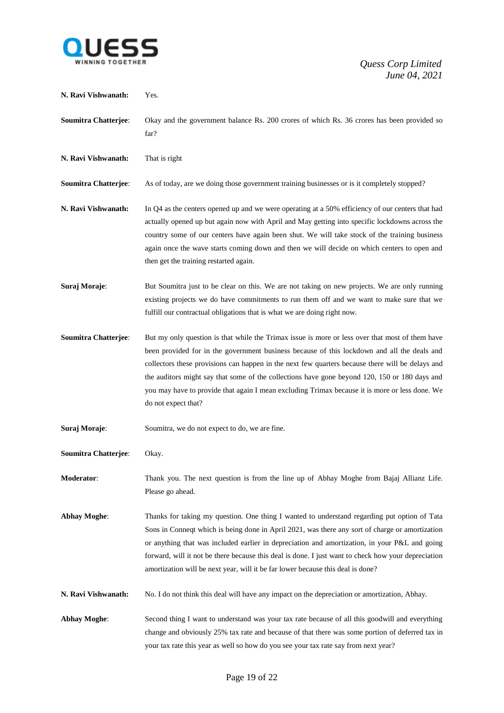

| N. Ravi Vishwanath:         | Yes.                                                                                                                                                                                                                                                                                                                                                                                                                                                                                                                         |
|-----------------------------|------------------------------------------------------------------------------------------------------------------------------------------------------------------------------------------------------------------------------------------------------------------------------------------------------------------------------------------------------------------------------------------------------------------------------------------------------------------------------------------------------------------------------|
| <b>Soumitra Chatterjee:</b> | Okay and the government balance Rs. 200 crores of which Rs. 36 crores has been provided so<br>far?                                                                                                                                                                                                                                                                                                                                                                                                                           |
| N. Ravi Vishwanath:         | That is right                                                                                                                                                                                                                                                                                                                                                                                                                                                                                                                |
| <b>Soumitra Chatterjee:</b> | As of today, are we doing those government training businesses or is it completely stopped?                                                                                                                                                                                                                                                                                                                                                                                                                                  |
| N. Ravi Vishwanath:         | In Q4 as the centers opened up and we were operating at a 50% efficiency of our centers that had<br>actually opened up but again now with April and May getting into specific lockdowns across the<br>country some of our centers have again been shut. We will take stock of the training business<br>again once the wave starts coming down and then we will decide on which centers to open and<br>then get the training restarted again.                                                                                 |
| Suraj Moraje:               | But Soumitra just to be clear on this. We are not taking on new projects. We are only running<br>existing projects we do have commitments to run them off and we want to make sure that we<br>fulfill our contractual obligations that is what we are doing right now.                                                                                                                                                                                                                                                       |
| <b>Soumitra Chatterjee:</b> | But my only question is that while the Trimax issue is more or less over that most of them have<br>been provided for in the government business because of this lockdown and all the deals and<br>collectors these provisions can happen in the next few quarters because there will be delays and<br>the auditors might say that some of the collections have gone beyond 120, 150 or 180 days and<br>you may have to provide that again I mean excluding Trimax because it is more or less done. We<br>do not expect that? |
| Suraj Moraje:               | Soumitra, we do not expect to do, we are fine.                                                                                                                                                                                                                                                                                                                                                                                                                                                                               |
| <b>Soumitra Chatterjee:</b> | Okay.                                                                                                                                                                                                                                                                                                                                                                                                                                                                                                                        |
| Moderator:                  | Thank you. The next question is from the line up of Abhay Moghe from Bajaj Allianz Life.<br>Please go ahead.                                                                                                                                                                                                                                                                                                                                                                                                                 |
| <b>Abhay Moghe:</b>         | Thanks for taking my question. One thing I wanted to understand regarding put option of Tata<br>Sons in Connect which is being done in April 2021, was there any sort of charge or amortization<br>or anything that was included earlier in depreciation and amortization, in your P&L and going<br>forward, will it not be there because this deal is done. I just want to check how your depreciation<br>amortization will be next year, will it be far lower because this deal is done?                                   |
| N. Ravi Vishwanath:         | No. I do not think this deal will have any impact on the depreciation or amortization, Abhay.                                                                                                                                                                                                                                                                                                                                                                                                                                |
| <b>Abhay Moghe:</b>         | Second thing I want to understand was your tax rate because of all this goodwill and everything<br>change and obviously 25% tax rate and because of that there was some portion of deferred tax in<br>your tax rate this year as well so how do you see your tax rate say from next year?                                                                                                                                                                                                                                    |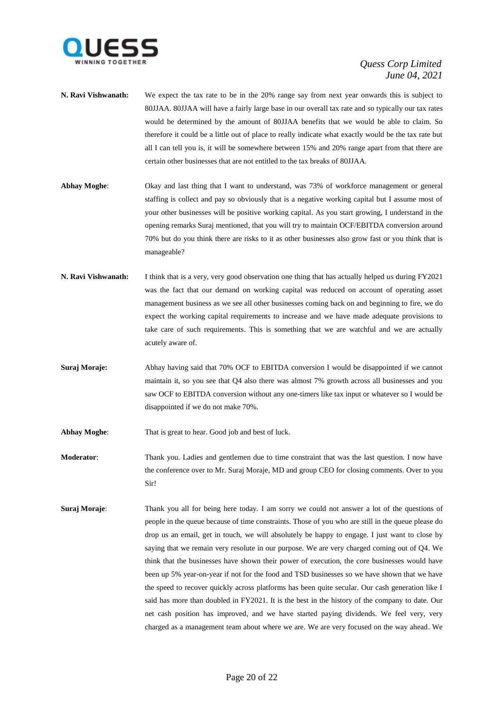

- **N. Ravi Vishwanath:** We expect the tax rate to be in the 20% range say from next year onwards this is subject to 80JJAA. 80JJAA will have a fairly large base in our overall tax rate and so typically our tax rates would be determined by the amount of 80JJAA benefits that we would be able to claim. So therefore it could be a little out of place to really indicate what exactly would be the tax rate but all I can tell you is, it will be somewhere between 15% and 20% range apart from that there are certain other businesses that are not entitled to the tax breaks of 80JJAA.
- **Abhay Moghe**: Okay and last thing that I want to understand, was 73% of workforce management or general staffing is collect and pay so obviously that is a negative working capital but I assume most of your other businesses will be positive working capital. As you start growing, I understand in the opening remarks Suraj mentioned, that you will try to maintain OCF/EBITDA conversion around 70% but do you think there are risks to it as other businesses also grow fast or you think that is manageable?
- **N. Ravi Vishwanath:** I think that is a very, very good observation one thing that has actually helped us during FY2021 was the fact that our demand on working capital was reduced on account of operating asset management business as we see all other businesses coming back on and beginning to fire, we do expect the working capital requirements to increase and we have made adequate provisions to take care of such requirements. This is something that we are watchful and we are actually acutely aware of.
- **Suraj Moraje:** Abhay having said that 70% OCF to EBITDA conversion I would be disappointed if we cannot maintain it, so you see that Q4 also there was almost 7% growth across all businesses and you saw OCF to EBITDA conversion without any one-timers like tax input or whatever so I would be disappointed if we do not make 70%.
- **Abhay Moghe:** That is great to hear. Good job and best of luck.
- **Moderator**: Thank you. Ladies and gentlemen due to time constraint that was the last question. I now have the conference over to Mr. Suraj Moraje, MD and group CEO for closing comments. Over to you Sir!
- **Suraj Moraje:** Thank you all for being here today. I am sorry we could not answer a lot of the questions of people in the queue because of time constraints. Those of you who are still in the queue please do drop us an email, get in touch, we will absolutely be happy to engage. I just want to close by saying that we remain very resolute in our purpose. We are very charged coming out of Q4. We think that the businesses have shown their power of execution, the core businesses would have been up 5% year-on-year if not for the food and TSD businesses so we have shown that we have the speed to recover quickly across platforms has been quite secular. Our cash generation like I said has more than doubled in FY2021. It is the best in the history of the company to date. Our net cash position has improved, and we have started paying dividends. We feel very, very charged as a management team about where we are. We are very focused on the way ahead. We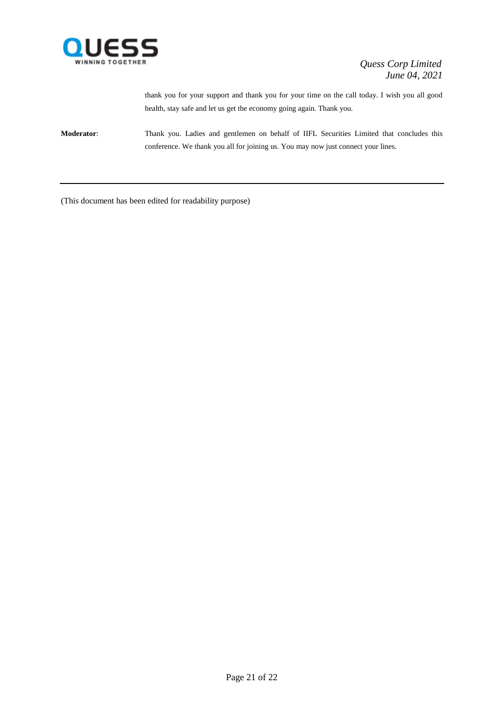

thank you for your support and thank you for your time on the call today. I wish you all good health, stay safe and let us get the economy going again. Thank you.

**Moderator**: Thank you. Ladies and gentlemen on behalf of IIFL Securities Limited that concludes this conference. We thank you all for joining us. You may now just connect your lines.

(This document has been edited for readability purpose)